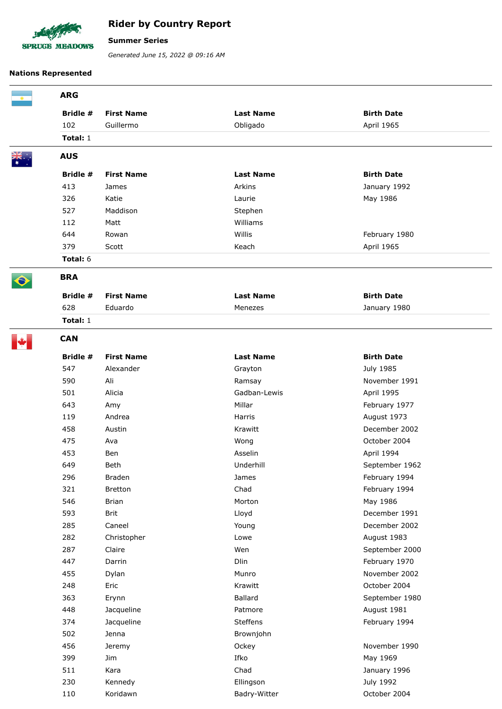

## **Rider by Country Report**

## **Summer Series**

*Generated June 15, 2022 @ 09:16 AM*

## **Nations Represented**

| <b>ARG</b> |                   |                  |                   |  |
|------------|-------------------|------------------|-------------------|--|
| Bridle #   | <b>First Name</b> | <b>Last Name</b> | <b>Birth Date</b> |  |
| 102        | Guillermo         | Obligado         | April 1965        |  |
| Total: 1   |                   |                  |                   |  |
| <b>AUS</b> |                   |                  |                   |  |
| Bridle #   | <b>First Name</b> | <b>Last Name</b> | <b>Birth Date</b> |  |
| 413        | James             | Arkins           | January 1992      |  |
| 326        | Katie             | Laurie           | May 1986          |  |
| 527        | Maddison          | Stephen          |                   |  |
| 112        | Matt              | Williams         |                   |  |
| 644        | Rowan             | Willis           | February 1980     |  |
| 379        | Scott             | Keach            | April 1965        |  |
| Total: 6   |                   |                  |                   |  |
| <b>BRA</b> |                   |                  |                   |  |
| Bridle #   | <b>First Name</b> | <b>Last Name</b> | <b>Birth Date</b> |  |
| 628        | Eduardo           | Menezes          | January 1980      |  |
| Total: 1   |                   |                  |                   |  |
| <b>CAN</b> |                   |                  |                   |  |
| Bridle #   | <b>First Name</b> | <b>Last Name</b> | <b>Birth Date</b> |  |
| 547        | Alexander         | Grayton          | July 1985         |  |
| 590        | Ali               | Ramsay           | November 1991     |  |
| 501        | Alicia            | Gadban-Lewis     | April 1995        |  |
| 643        | Amy               | Millar           | February 1977     |  |
| 119        | Andrea            | Harris           | August 1973       |  |
| 458        | Austin            | Krawitt          | December 2002     |  |
| 475        | Ava               | Wong             | October 2004      |  |
| 453        | <b>Ben</b>        | Asselin          | April 1994        |  |
| 649        | Beth              | Underhill        | September 1962    |  |
| 296        | Braden            | James            | February 1994     |  |
| 321        | Bretton           | Chad             | February 1994     |  |
| 546        | <b>Brian</b>      | Morton           | May 1986          |  |
| 593        | <b>Brit</b>       | Lloyd            | December 1991     |  |
| 285        | Caneel            | Young            | December 2002     |  |
| 282        | Christopher       | Lowe             | August 1983       |  |
| 287        | Claire            | Wen              | September 2000    |  |
| 447        | Darrin            | Dlin             | February 1970     |  |
| 455        | Dylan             | Munro            | November 2002     |  |
| 248        | Eric              | Krawitt          | October 2004      |  |
| 363        | Erynn             | Ballard          | September 1980    |  |
| 448        | Jacqueline        | Patmore          | August 1981       |  |
| 374        | Jacqueline        | Steffens         | February 1994     |  |
| 502        | Jenna             | Brownjohn        |                   |  |
| 456        | Jeremy            | Ockey            | November 1990     |  |
| 399        | Jim               | Ifko             | May 1969          |  |
| 511        | Kara              | Chad             | January 1996      |  |
| 230        | Kennedy           | Ellingson        | July 1992         |  |
| 110        | Koridawn          | Badry-Witter     | October 2004      |  |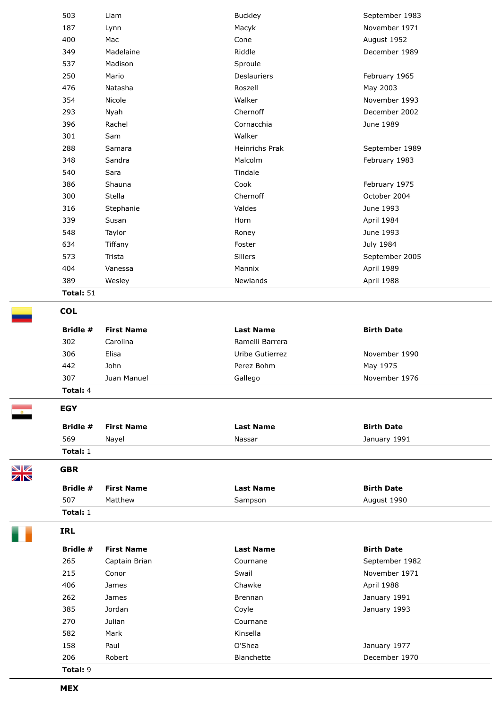|    | 503                    | Liam              | <b>Buckley</b>   | September 1983    |  |  |
|----|------------------------|-------------------|------------------|-------------------|--|--|
|    | 187                    | Lynn              | Macyk            | November 1971     |  |  |
|    | 400                    | Mac               | Cone             | August 1952       |  |  |
|    | 349                    | Madelaine         | Riddle           | December 1989     |  |  |
|    | 537                    | Madison           | Sproule          |                   |  |  |
|    | 250                    | Mario             | Deslauriers      | February 1965     |  |  |
|    | 476                    | Natasha           | Roszell          | May 2003          |  |  |
|    | 354                    | Nicole            | Walker           | November 1993     |  |  |
|    | 293                    | Nyah              | Chernoff         | December 2002     |  |  |
|    | 396                    | Rachel            | Cornacchia       | June 1989         |  |  |
|    | 301                    | Sam               | Walker           |                   |  |  |
|    | 288                    | Samara            | Heinrichs Prak   | September 1989    |  |  |
|    | 348                    | Sandra            | Malcolm          | February 1983     |  |  |
|    | 540                    | Sara              | Tindale          |                   |  |  |
|    | 386                    | Shauna            | Cook             | February 1975     |  |  |
|    | 300                    | Stella            | Chernoff         | October 2004      |  |  |
|    | 316                    | Stephanie         | Valdes           | June 1993         |  |  |
|    | 339                    | Susan             | Horn             | April 1984        |  |  |
|    | 548                    | Taylor            | Roney            | June 1993         |  |  |
|    | 634                    | Tiffany           | Foster           | July 1984         |  |  |
|    | 573                    | Trista            | Sillers          | September 2005    |  |  |
|    | 404                    | Vanessa           | Mannix           | April 1989        |  |  |
|    | 389                    | Wesley            | Newlands         | April 1988        |  |  |
|    | Total: 51              |                   |                  |                   |  |  |
|    | <b>COL</b>             |                   |                  |                   |  |  |
|    | Bridle #               | <b>First Name</b> | <b>Last Name</b> | <b>Birth Date</b> |  |  |
|    | 302                    | Carolina          | Ramelli Barrera  |                   |  |  |
|    | 306                    | Elisa             | Uribe Gutierrez  | November 1990     |  |  |
|    | 442                    | John              | Perez Bohm       | May 1975          |  |  |
|    | 307                    | Juan Manuel       | Gallego          | November 1976     |  |  |
|    | Total: 4               |                   |                  |                   |  |  |
|    | <b>EGY</b>             |                   |                  |                   |  |  |
|    | Bridle #               | <b>First Name</b> | <b>Last Name</b> | <b>Birth Date</b> |  |  |
|    | 569                    |                   | Nassar           |                   |  |  |
|    |                        | Nayel             |                  | January 1991      |  |  |
| NZ | Total: 1<br><b>GBR</b> |                   |                  |                   |  |  |
| ZK | Bridle #               | <b>First Name</b> | <b>Last Name</b> | <b>Birth Date</b> |  |  |
|    | 507                    | Matthew           | Sampson          | August 1990       |  |  |
|    | Total: 1               |                   |                  |                   |  |  |
|    |                        |                   |                  |                   |  |  |
|    | <b>IRL</b>             |                   |                  |                   |  |  |
|    | Bridle #               | <b>First Name</b> | <b>Last Name</b> | <b>Birth Date</b> |  |  |
|    | 265                    | Captain Brian     | Cournane         | September 1982    |  |  |
|    | 215                    | Conor             | Swail            | November 1971     |  |  |
|    | 406                    | James             | Chawke           | April 1988        |  |  |
|    | 262                    | James             | <b>Brennan</b>   | January 1991      |  |  |
|    | 385                    | Jordan            | Coyle            | January 1993      |  |  |
|    | 270                    | Julian            | Cournane         |                   |  |  |
|    | 582                    | Mark              | Kinsella         |                   |  |  |
|    | 158                    | Paul              | O'Shea           | January 1977      |  |  |
|    | 206                    | Robert            | Blanchette       | December 1970     |  |  |
|    | Total: 9               |                   |                  |                   |  |  |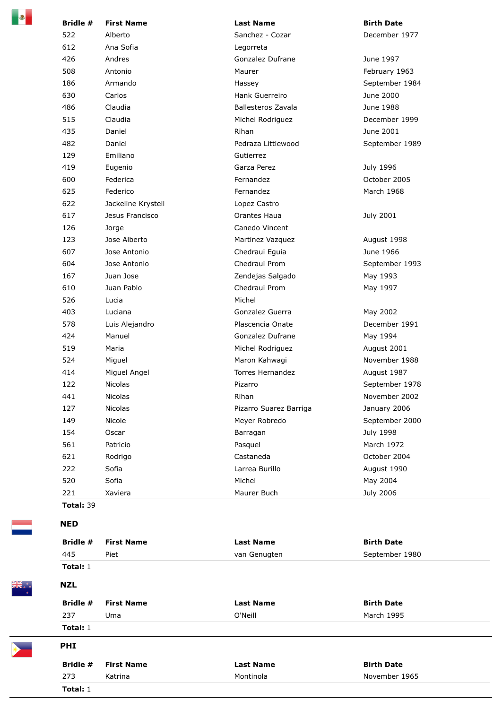| Ð | Bridle #         | <b>First Name</b>  | <b>Last Name</b>       | <b>Birth Date</b> |
|---|------------------|--------------------|------------------------|-------------------|
|   | 522              | Alberto            | Sanchez - Cozar        | December 1977     |
|   | 612              | Ana Sofia          | Legorreta              |                   |
|   | 426              | Andres             | Gonzalez Dufrane       | June 1997         |
|   | 508              | Antonio            | Maurer                 | February 1963     |
|   | 186              | Armando            | Hassey                 | September 1984    |
|   | 630              | Carlos             | Hank Guerreiro         | June 2000         |
|   | 486              | Claudia            | Ballesteros Zavala     | June 1988         |
|   | 515              | Claudia            | Michel Rodriguez       | December 1999     |
|   | 435              | Daniel             | Rihan                  | June 2001         |
|   | 482              | Daniel             | Pedraza Littlewood     | September 1989    |
|   | 129              | Emiliano           | Gutierrez              |                   |
|   | 419              | Eugenio            | Garza Perez            | July 1996         |
|   | 600              | Federica           | Fernandez              | October 2005      |
|   | 625              | Federico           | Fernandez              | March 1968        |
|   | 622              | Jackeline Krystell | Lopez Castro           |                   |
|   | 617              | Jesus Francisco    | Orantes Haua           | July 2001         |
|   | 126              | Jorge              | Canedo Vincent         |                   |
|   | 123              | Jose Alberto       | Martinez Vazquez       | August 1998       |
|   | 607              | Jose Antonio       | Chedraui Eguia         | June 1966         |
|   | 604              | Jose Antonio       | Chedraui Prom          | September 1993    |
|   | 167              | Juan Jose          | Zendejas Salgado       | May 1993          |
|   | 610              | Juan Pablo         | Chedraui Prom          | May 1997          |
|   | 526              | Lucia              | Michel                 |                   |
|   | 403              | Luciana            | Gonzalez Guerra        | May 2002          |
|   | 578              | Luis Alejandro     | Plascencia Onate       | December 1991     |
|   | 424              | Manuel             | Gonzalez Dufrane       | May 1994          |
|   | 519              | Maria              | Michel Rodriguez       | August 2001       |
|   | 524              | Miguel             | Maron Kahwagi          | November 1988     |
|   | 414              | Miguel Angel       | Torres Hernandez       | August 1987       |
|   | 122              | <b>Nicolas</b>     | Pizarro                | September 1978    |
|   | 441              | Nicolas            | Rihan                  | November 2002     |
|   | 127              | Nicolas            | Pizarro Suarez Barriga | January 2006      |
|   | 149              | Nicole             | Meyer Robredo          | September 2000    |
|   | 154              | Oscar              | Barragan               | July 1998         |
|   | 561              | Patricio           | Pasquel                | March 1972        |
|   | 621              | Rodrigo            | Castaneda              | October 2004      |
|   | 222              | Sofia              | Larrea Burillo         | August 1990       |
|   | 520              | Sofia              | Michel                 | May 2004          |
|   | 221              | Xaviera            | Maurer Buch            | July 2006         |
|   | <b>Total: 39</b> |                    |                        |                   |
|   | <b>NED</b>       |                    |                        |                   |
|   | Bridle #         | <b>First Name</b>  | <b>Last Name</b>       | <b>Birth Date</b> |
|   | 445              | Piet               | van Genugten           | September 1980    |
|   | Total: 1         |                    |                        |                   |
|   | <b>NZL</b>       |                    |                        |                   |
|   | Bridle #         | <b>First Name</b>  | <b>Last Name</b>       | <b>Birth Date</b> |
|   | 237              | Uma                | O'Neill                | March 1995        |
|   | Total: 1         |                    |                        |                   |
|   | <b>PHI</b>       |                    |                        |                   |
|   | Bridle #         | <b>First Name</b>  | <b>Last Name</b>       | <b>Birth Date</b> |
|   | 273              | Katrina            | Montinola              | November 1965     |
|   | Total: 1         |                    |                        |                   |
|   |                  |                    |                        |                   |